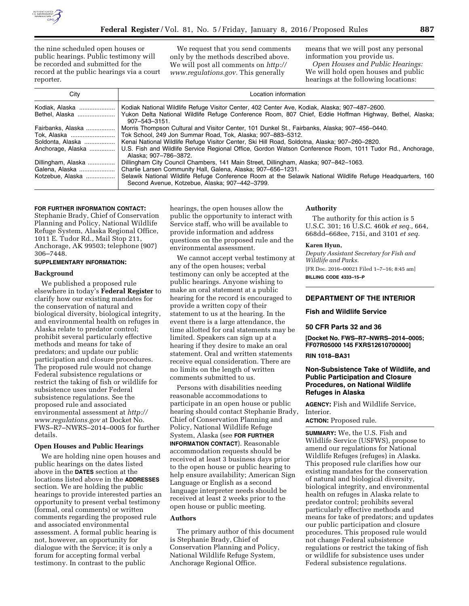

the nine scheduled open houses or public hearings. Public testimony will be recorded and submitted for the record at the public hearings via a court reporter.

We request that you send comments only by the methods described above. We will post all comments on *[http://](http://www.regulations.gov) [www.regulations.gov.](http://www.regulations.gov)* This generally

means that we will post any personal information you provide us. *Open Houses and Public Hearings:* 

We will hold open houses and public hearings at the following locations:

| City                                                       | Location information                                                                                                                                                                                                                                                                                                                                                                                |
|------------------------------------------------------------|-----------------------------------------------------------------------------------------------------------------------------------------------------------------------------------------------------------------------------------------------------------------------------------------------------------------------------------------------------------------------------------------------------|
| Kodiak, Alaska<br>Bethel, Alaska                           | Kodiak National Wildlife Refuge Visitor Center, 402 Center Ave, Kodiak, Alaska; 907-487-2600.<br>Yukon Delta National Wildlife Refuge Conference Room, 807 Chief, Eddie Hoffman Highway, Bethel, Alaska;<br>$907 - 543 - 3151$ .                                                                                                                                                                    |
| Fairbanks. Alaska<br>Soldonta, Alaska<br>Anchorage, Alaska | Morris Thompson Cultural and Visitor Center, 101 Dunkel St., Fairbanks, Alaska; 907–456–0440.<br>Tok School, 249 Jon Summar Road, Tok, Alaska; 907–883–5312.<br>Kenai National Wildlife Refuge Visitor Center, Ski Hill Road, Soldotna, Alaska; 907–260–2820.<br>U.S. Fish and Wildlife Service Regional Office, Gordon Watson Conference Room, 1011 Tudor Rd., Anchorage,<br>Alaska: 907-786-3872. |
| Dillingham, Alaska<br>Galena, Alaska<br>Kotzebue, Alaska   | Dillingham City Council Chambers, 141 Main Street, Dillingham, Alaska; 907–842–1063.<br>Charlie Larsen Community Hall, Galena, Alaska; 907-656-1231.<br>Selawik National Wildlife Refuge Conference Room at the Selawik National Wildlife Refuge Headquarters, 160<br>Second Avenue, Kotzebue, Alaska; 907-442-3799.                                                                                |

#### **FOR FURTHER INFORMATION CONTACT:**

Stephanie Brady, Chief of Conservation Planning and Policy, National Wildlife Refuge System, Alaska Regional Office, 1011 E. Tudor Rd., Mail Stop 211, Anchorage, AK 99503; telephone (907) 306–7448.

### **SUPPLEMENTARY INFORMATION:**

#### **Background**

We published a proposed rule elsewhere in today's **Federal Register** to clarify how our existing mandates for the conservation of natural and biological diversity, biological integrity, and environmental health on refuges in Alaska relate to predator control; prohibit several particularly effective methods and means for take of predators; and update our public participation and closure procedures. The proposed rule would not change Federal subsistence regulations or restrict the taking of fish or wildlife for subsistence uses under Federal subsistence regulations. See the proposed rule and associated environmental assessment at *[http://](http://www.regulations.gov)  [www.regulations.gov](http://www.regulations.gov)* at Docket No. FWS–R7–NWRS–2014–0005 for further details.

## **Open Houses and Public Hearings**

We are holding nine open houses and public hearings on the dates listed above in the **DATES** section at the locations listed above in the **ADDRESSES** section. We are holding the public hearings to provide interested parties an opportunity to present verbal testimony (formal, oral comments) or written comments regarding the proposed rule and associated environmental assessment. A formal public hearing is not, however, an opportunity for dialogue with the Service; it is only a forum for accepting formal verbal testimony. In contrast to the public

hearings, the open houses allow the public the opportunity to interact with Service staff, who will be available to provide information and address questions on the proposed rule and the environmental assessment.

We cannot accept verbal testimony at any of the open houses; verbal testimony can only be accepted at the public hearings. Anyone wishing to make an oral statement at a public hearing for the record is encouraged to provide a written copy of their statement to us at the hearing. In the event there is a large attendance, the time allotted for oral statements may be limited. Speakers can sign up at a hearing if they desire to make an oral statement. Oral and written statements receive equal consideration. There are no limits on the length of written comments submitted to us.

Persons with disabilities needing reasonable accommodations to participate in an open house or public hearing should contact Stephanie Brady, Chief of Conservation Planning and Policy, National Wildlife Refuge System, Alaska (see **FOR FURTHER INFORMATION CONTACT**). Reasonable accommodation requests should be received at least 3 business days prior to the open house or public hearing to help ensure availability; American Sign Language or English as a second language interpreter needs should be received at least 2 weeks prior to the open house or public meeting.

### **Authors**

The primary author of this document is Stephanie Brady, Chief of Conservation Planning and Policy, National Wildlife Refuge System, Anchorage Regional Office.

#### **Authority**

The authority for this action is 5 U.S.C. 301; 16 U.S.C. 460k *et seq.,* 664, 668dd–668ee, 715i, and 3101 *et seq.* 

#### **Karen Hyun,**

*Deputy Assistant Secretary for Fish and Wildlife and Parks.* 

[FR Doc. 2016–00021 Filed 1–7–16; 8:45 am] **BILLING CODE 4333–15–P** 

## **DEPARTMENT OF THE INTERIOR**

#### **Fish and Wildlife Service**

#### **50 CFR Parts 32 and 36**

**[Docket No. FWS–R7–NWRS–2014–0005; FF07R05000 145 FXRS12610700000]** 

### **RIN 1018–BA31**

# **Non-Subsistence Take of Wildlife, and Public Participation and Closure Procedures, on National Wildlife Refuges in Alaska**

**AGENCY:** Fish and Wildlife Service, Interior.

**ACTION:** Proposed rule.

**SUMMARY:** We, the U.S. Fish and Wildlife Service (USFWS), propose to amend our regulations for National Wildlife Refuges (refuges) in Alaska. This proposed rule clarifies how our existing mandates for the conservation of natural and biological diversity, biological integrity, and environmental health on refuges in Alaska relate to predator control; prohibits several particularly effective methods and means for take of predators; and updates our public participation and closure procedures. This proposed rule would not change Federal subsistence regulations or restrict the taking of fish or wildlife for subsistence uses under Federal subsistence regulations.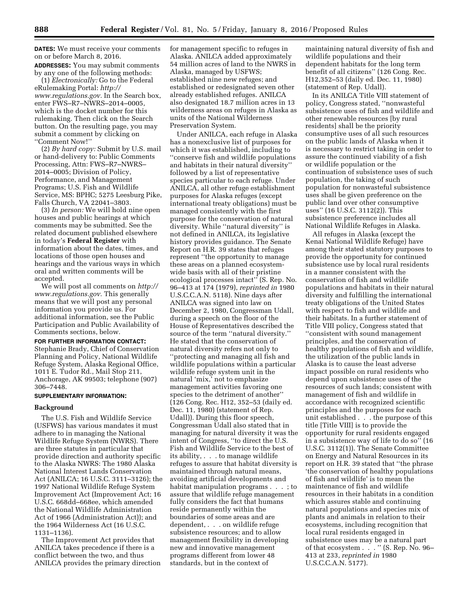**DATES:** We must receive your comments on or before March 8, 2016. **ADDRESSES:** You may submit comments

by any one of the following methods: (1) *Electronically:* Go to the Federal eRulemaking Portal: *[http://](http://www.regulations.gov) [www.regulations.gov.](http://www.regulations.gov)* In the Search box, enter FWS–R7–NWRS–2014–0005, which is the docket number for this rulemaking. Then click on the Search button. On the resulting page, you may submit a comment by clicking on ''Comment Now!''

(2) *By hard copy:* Submit by U.S. mail or hand-delivery to: Public Comments Processing, Attn: FWS–R7–NWRS– 2014–0005; Division of Policy, Performance, and Management Programs; U.S. Fish and Wildlife Service, MS: BPHC; 5275 Leesburg Pike, Falls Church, VA 22041–3803.

(3) *In person:* We will hold nine open houses and public hearings at which comments may be submitted. See the related document published elsewhere in today's **Federal Register** with information about the dates, times, and locations of those open houses and hearings and the various ways in which oral and written comments will be accepted.

We will post all comments on *[http://](http://www.regulations.gov) [www.regulations.gov.](http://www.regulations.gov)* This generally means that we will post any personal information you provide us. For additional information, see the Public Participation and Public Availability of Comments sections, below.

**FOR FURTHER INFORMATION CONTACT:**  Stephanie Brady, Chief of Conservation Planning and Policy, National Wildlife Refuge System, Alaska Regional Office, 1011 E. Tudor Rd., Mail Stop 211, Anchorage, AK 99503; telephone (907) 306–7448.

# **SUPPLEMENTARY INFORMATION:**

#### **Background**

The U.S. Fish and Wildlife Service (USFWS) has various mandates it must adhere to in managing the National Wildlife Refuge System (NWRS). There are three statutes in particular that provide direction and authority specific to the Alaska NWRS: The 1980 Alaska National Interest Lands Conservation Act (ANILCA; 16 U.S.C. 3111–3126); the 1997 National Wildlife Refuge System Improvement Act (Improvement Act; 16 U.S.C. 668dd–668ee, which amended the National Wildlife Administration Act of 1966 (Administration Act)); and the 1964 Wilderness Act (16 U.S.C. 1131–1136).

The Improvement Act provides that ANILCA takes precedence if there is a conflict between the two, and thus ANILCA provides the primary direction for management specific to refuges in Alaska. ANILCA added approximately 54 million acres of land to the NWRS in Alaska, managed by USFWS; established nine new refuges; and established or redesignated seven other already established refuges. ANILCA also designated 18.7 million acres in 13 wilderness areas on refuges in Alaska as units of the National Wilderness Preservation System.

Under ANILCA, each refuge in Alaska has a nonexclusive list of purposes for which it was established, including to ''conserve fish and wildlife populations and habitats in their natural diversity'' followed by a list of representative species particular to each refuge. Under ANILCA, all other refuge establishment purposes for Alaska refuges (except international treaty obligations) must be managed consistently with the first purpose for the conservation of natural diversity. While ''natural diversity'' is not defined in ANILCA, its legislative history provides guidance. The Senate Report on H.R. 39 states that refuges represent ''the opportunity to manage these areas on a planned ecosystemwide basis with all of their pristine ecological processes intact'' (S. Rep. No. 96–413 at 174 (1979), *reprinted in* 1980 U.S.C.C.A.N. 5118). Nine days after ANILCA was signed into law on December 2, 1980, Congressman Udall, during a speech on the floor of the House of Representatives described the source of the term ''natural diversity.'' He stated that the conservation of natural diversity refers not only to ''protecting and managing all fish and wildlife populations within a particular wildlife refuge system unit in the natural 'mix,' not to emphasize management activities favoring one species to the detriment of another'' (126 Cong. Rec. H12, 352–53 (daily ed. Dec. 11, 1980) (statement of Rep. Udall)). During this floor speech, Congressman Udall also stated that in managing for natural diversity it was the intent of Congress, ''to direct the U.S. Fish and Wildlife Service to the best of its ability, . . . to manage wildlife refuges to assure that habitat diversity is maintained through natural means, avoiding artificial developments and habitat manipulation programs . . . ; to assure that wildlife refuge management fully considers the fact that humans reside permanently within the boundaries of some areas and are dependent, . . . on wildlife refuge subsistence resources; and to allow management flexibility in developing new and innovative management programs different from lower 48 standards, but in the context of

maintaining natural diversity of fish and wildlife populations and their dependent habitats for the long term benefit of all citizens'' (126 Cong. Rec. H12,352–53 (daily ed. Dec. 11, 1980) (statement of Rep. Udall).

In its ANILCA Title VIII statement of policy, Congress stated, ''nonwasteful subsistence uses of fish and wildlife and other renewable resources [by rural residents] shall be the priority consumptive uses of all such resources on the public lands of Alaska when it is necessary to restrict taking in order to assure the continued viability of a fish or wildlife population or the continuation of subsistence uses of such population, the taking of such population for nonwasteful subsistence uses shall be given preference on the public land over other consumptive uses'' (16 U.S.C. 3112(2)). This subsistence preference includes all National Wildlife Refuges in Alaska.

All refuges in Alaska (except the Kenai National Wildlife Refuge) have among their stated statutory purposes to provide the opportunity for continued subsistence use by local rural residents in a manner consistent with the conservation of fish and wildlife populations and habitats in their natural diversity and fulfilling the international treaty obligations of the United States with respect to fish and wildlife and their habitats. In a further statement of Title VIII policy, Congress stated that ''consistent with sound management principles, and the conservation of healthy populations of fish and wildlife, the utilization of the public lands in Alaska is to cause the least adverse impact possible on rural residents who depend upon subsistence uses of the resources of such lands; consistent with management of fish and wildlife in accordance with recognized scientific principles and the purposes for each unit established . . . the purpose of this title [Title VIII] is to provide the opportunity for rural residents engaged in a subsistence way of life to do so'' (16 U.S.C. 3112(1)). The Senate Committee on Energy and Natural Resources in its report on H.R. 39 stated that ''the phrase 'the conservation of healthy populations of fish and wildlife' is to mean the maintenance of fish and wildlife resources in their habitats in a condition which assures stable and continuing natural populations and species mix of plants and animals in relation to their ecosystems, including recognition that local rural residents engaged in subsistence uses may be a natural part of that ecosystem . . . " (S. Rep. No. 96– 413 at 233, *reprinted in* 1980 U.S.C.C.A.N. 5177).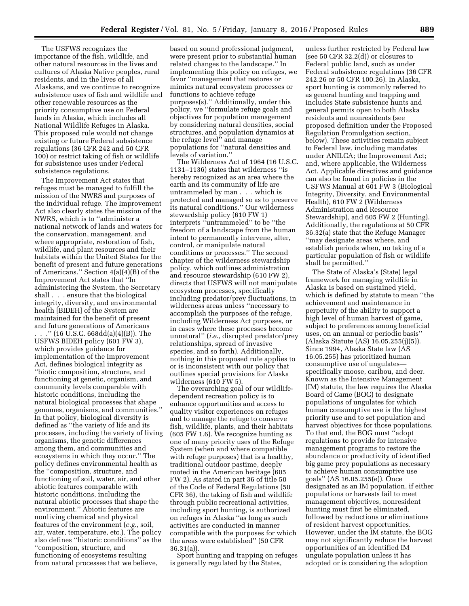The USFWS recognizes the importance of the fish, wildlife, and other natural resources in the lives and cultures of Alaska Native peoples, rural residents, and in the lives of all Alaskans, and we continue to recognize subsistence uses of fish and wildlife and other renewable resources as the priority consumptive use on Federal lands in Alaska, which includes all National Wildlife Refuges in Alaska. This proposed rule would not change existing or future Federal subsistence regulations (36 CFR 242 and 50 CFR 100) or restrict taking of fish or wildlife for subsistence uses under Federal subsistence regulations.

The Improvement Act states that refuges must be managed to fulfill the mission of the NWRS and purposes of the individual refuge. The Improvement Act also clearly states the mission of the NWRS, which is to ''administer a national network of lands and waters for the conservation, management, and where appropriate, restoration of fish, wildlife, and plant resources and their habitats within the United States for the benefit of present and future generations of Americans." Section  $4(a)(4)(B)$  of the Improvement Act states that ''In administering the System, the Secretary shall . . . ensure that the biological integrity, diversity, and environmental health [BIDEH] of the System are maintained for the benefit of present and future generations of Americans

. . .'' (16 U.S.C. 668dd(a)(4)(B)). The USFWS BIDEH policy (601 FW 3), which provides guidance for implementation of the Improvement Act, defines biological integrity as ''biotic composition, structure, and functioning at genetic, organism, and community levels comparable with historic conditions, including the natural biological processes that shape genomes, organisms, and communities.'' In that policy, biological diversity is defined as ''the variety of life and its processes, including the variety of living organisms, the genetic differences among them, and communities and ecosystems in which they occur.'' The policy defines environmental health as the ''composition, structure, and functioning of soil, water, air, and other abiotic features comparable with historic conditions, including the natural abiotic processes that shape the environment.'' Abiotic features are nonliving chemical and physical features of the environment (*e.g.,* soil, air, water, temperature, etc.). The policy also defines ''historic conditions'' as the ''composition, structure, and functioning of ecosystems resulting from natural processes that we believe,

based on sound professional judgment, were present prior to substantial human related changes to the landscape.'' In implementing this policy on refuges, we favor ''management that restores or mimics natural ecosystem processes or functions to achieve refuge purposes(s).'' Additionally, under this policy, we ''formulate refuge goals and objectives for population management by considering natural densities, social structures, and population dynamics at the refuge level'' and manage populations for ''natural densities and levels of variation.''

The Wilderness Act of 1964 (16 U.S.C. 1131–1136) states that wilderness ''is hereby recognized as an area where the earth and its community of life are untrammeled by man . . . which is protected and managed so as to preserve its natural conditions.'' Our wilderness stewardship policy (610 FW 1) interprets ''untrammeled'' to be ''the freedom of a landscape from the human intent to permanently intervene, alter, control, or manipulate natural conditions or processes.'' The second chapter of the wilderness stewardship policy, which outlines administration and resource stewardship (610 FW 2), directs that USFWS will not manipulate ecosystem processes, specifically including predator/prey fluctuations, in wilderness areas unless ''necessary to accomplish the purposes of the refuge, including Wilderness Act purposes, or in cases where these processes become unnatural'' (*i.e.,* disrupted predator/prey relationships, spread of invasive species, and so forth). Additionally, nothing in this proposed rule applies to or is inconsistent with our policy that outlines special provisions for Alaska wilderness (610 FW 5).

The overarching goal of our wildlifedependent recreation policy is to enhance opportunities and access to quality visitor experiences on refuges and to manage the refuge to conserve fish, wildlife, plants, and their habitats (605 FW 1.6). We recognize hunting as one of many priority uses of the Refuge System (when and where compatible with refuge purposes) that is a healthy, traditional outdoor pastime, deeply rooted in the American heritage (605 FW 2). As stated in part 36 of title 50 of the Code of Federal Regulations (50 CFR 36), the taking of fish and wildlife through public recreational activities, including sport hunting, is authorized on refuges in Alaska ''as long as such activities are conducted in manner compatible with the purposes for which the areas were established'' (50 CFR 36.31(a)).

Sport hunting and trapping on refuges is generally regulated by the States,

unless further restricted by Federal law (see 50 CFR 32.2(d)) or closures to Federal public land, such as under Federal subsistence regulations (36 CFR 242.26 or 50 CFR 100.26). In Alaska, sport hunting is commonly referred to as general hunting and trapping and includes State subsistence hunts and general permits open to both Alaska residents and nonresidents (see proposed definition under the Proposed Regulation Promulgation section, below). These activities remain subject to Federal law, including mandates under ANILCA; the Improvement Act; and, where applicable, the Wilderness Act. Applicable directives and guidance can also be found in policies in the USFWS Manual at 601 FW 3 (Biological Integrity, Diversity, and Environmental Health), 610 FW 2 (Wilderness Administration and Resource Stewardship), and 605 FW 2 (Hunting). Additionally, the regulations at 50 CFR 36.32(a) state that the Refuge Manager ''may designate areas where, and establish periods when, no taking of a particular population of fish or wildlife shall be permitted.''

The State of Alaska's (State) legal framework for managing wildlife in Alaska is based on sustained yield, which is defined by statute to mean ''the achievement and maintenance in perpetuity of the ability to support a high level of human harvest of game, subject to preferences among beneficial uses, on an annual or periodic basis'' (Alaska Statute (AS) 16.05.255(j)(5)). Since 1994, Alaska State law (AS 16.05.255) has prioritized human consumptive use of ungulates specifically moose, caribou, and deer. Known as the Intensive Management (IM) statute, the law requires the Alaska Board of Game (BOG) to designate populations of ungulates for which human consumptive use is the highest priority use and to set population and harvest objectives for those populations. To that end, the BOG must ''adopt regulations to provide for intensive management programs to restore the abundance or productivity of identified big game prey populations as necessary to achieve human consumptive use goals'' (AS 16.05.255(e)). Once designated as an IM population, if either populations or harvests fail to meet management objectives, nonresident hunting must first be eliminated, followed by reductions or eliminations of resident harvest opportunities. However, under the IM statute, the BOG may not significantly reduce the harvest opportunities of an identified IM ungulate population unless it has adopted or is considering the adoption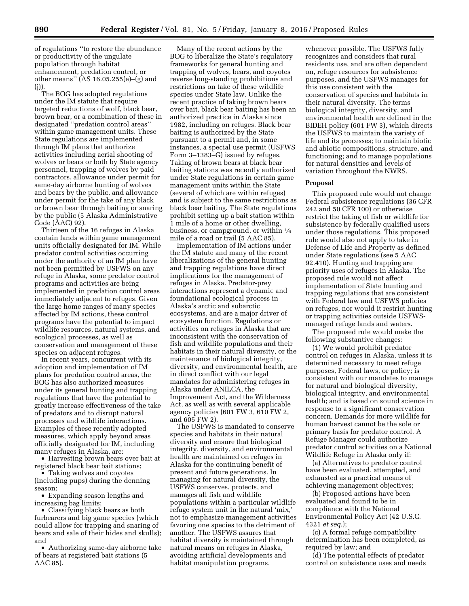of regulations ''to restore the abundance or productivity of the ungulate population through habitat enhancement, predation control, or other means'' (AS 16.05.255(e)–(g) and  $(j)$ 

The BOG has adopted regulations under the IM statute that require targeted reductions of wolf, black bear, brown bear, or a combination of these in designated ''predation control areas'' within game management units. These State regulations are implemented through IM plans that authorize activities including aerial shooting of wolves or bears or both by State agency personnel, trapping of wolves by paid contractors, allowance under permit for same-day airborne hunting of wolves and bears by the public, and allowance under permit for the take of any black or brown bear through baiting or snaring by the public (5 Alaska Administrative Code (AAC) 92).

Thirteen of the 16 refuges in Alaska contain lands within game management units officially designated for IM. While predator control activities occurring under the authority of an IM plan have not been permitted by USFWS on any refuge in Alaska, some predator control programs and activities are being implemented in predation control areas immediately adjacent to refuges. Given the large home ranges of many species affected by IM actions, these control programs have the potential to impact wildlife resources, natural systems, and ecological processes, as well as conservation and management of these species on adjacent refuges.

In recent years, concurrent with its adoption and implementation of IM plans for predation control areas, the BOG has also authorized measures under its general hunting and trapping regulations that have the potential to greatly increase effectiveness of the take of predators and to disrupt natural processes and wildlife interactions. Examples of these recently adopted measures, which apply beyond areas officially designated for IM, including many refuges in Alaska, are:

• Harvesting brown bears over bait at registered black bear bait stations;

• Taking wolves and coyotes (including pups) during the denning season;

• Expanding season lengths and increasing bag limits;

• Classifying black bears as both furbearers and big game species (which could allow for trapping and snaring of bears and sale of their hides and skulls); and

• Authorizing same-day airborne take of bears at registered bait stations (5 AAC 85).

Many of the recent actions by the BOG to liberalize the State's regulatory frameworks for general hunting and trapping of wolves, bears, and coyotes reverse long-standing prohibitions and restrictions on take of these wildlife species under State law. Unlike the recent practice of taking brown bears over bait, black bear baiting has been an authorized practice in Alaska since 1982, including on refuges. Black bear baiting is authorized by the State pursuant to a permit and, in some instances, a special use permit (USFWS Form 3–1383–G) issued by refuges. Taking of brown bears at black bear baiting stations was recently authorized under State regulations in certain game management units within the State (several of which are within refuges) and is subject to the same restrictions as black bear baiting. The State regulations prohibit setting up a bait station within 1 mile of a home or other dwelling, business, or campground, or within  $\frac{1}{4}$ mile of a road or trail (5 AAC 85).

Implementation of IM actions under the IM statute and many of the recent liberalizations of the general hunting and trapping regulations have direct implications for the management of refuges in Alaska. Predator-prey interactions represent a dynamic and foundational ecological process in Alaska's arctic and subarctic ecosystems, and are a major driver of ecosystem function. Regulations or activities on refuges in Alaska that are inconsistent with the conservation of fish and wildlife populations and their habitats in their natural diversity, or the maintenance of biological integrity, diversity, and environmental health, are in direct conflict with our legal mandates for administering refuges in Alaska under ANILCA, the Improvement Act, and the Wilderness Act, as well as with several applicable agency policies (601 FW 3,  $610$  FW 2, and 605 FW 2).

The USFWS is mandated to conserve species and habitats in their natural diversity and ensure that biological integrity, diversity, and environmental health are maintained on refuges in Alaska for the continuing benefit of present and future generations. In managing for natural diversity, the USFWS conserves, protects, and manages all fish and wildlife populations within a particular wildlife refuge system unit in the natural 'mix,' not to emphasize management activities favoring one species to the detriment of another. The USFWS assures that habitat diversity is maintained through natural means on refuges in Alaska, avoiding artificial developments and habitat manipulation programs,

whenever possible. The USFWS fully recognizes and considers that rural residents use, and are often dependent on, refuge resources for subsistence purposes, and the USFWS manages for this use consistent with the conservation of species and habitats in their natural diversity. The terms biological integrity, diversity, and environmental health are defined in the BIDEH policy (601 FW 3), which directs the USFWS to maintain the variety of life and its processes; to maintain biotic and abiotic compositions, structure, and functioning; and to manage populations for natural densities and levels of variation throughout the NWRS.

#### **Proposal**

This proposed rule would not change Federal subsistence regulations (36 CFR 242 and 50 CFR 100) or otherwise restrict the taking of fish or wildlife for subsistence by federally qualified users under those regulations. This proposed rule would also not apply to take in Defense of Life and Property as defined under State regulations (see 5 AAC 92.410). Hunting and trapping are priority uses of refuges in Alaska. The proposed rule would not affect implementation of State hunting and trapping regulations that are consistent with Federal law and USFWS policies on refuges, nor would it restrict hunting or trapping activities outside USFWSmanaged refuge lands and waters.

The proposed rule would make the following substantive changes:

(1) We would prohibit predator control on refuges in Alaska, unless it is determined necessary to meet refuge purposes, Federal laws, or policy; is consistent with our mandates to manage for natural and biological diversity, biological integrity, and environmental health; and is based on sound science in response to a significant conservation concern. Demands for more wildlife for human harvest cannot be the sole or primary basis for predator control. A Refuge Manager could authorize predator control activities on a National Wildlife Refuge in Alaska only if:

(a) Alternatives to predator control have been evaluated, attempted, and exhausted as a practical means of achieving management objectives;

(b) Proposed actions have been evaluated and found to be in compliance with the National Environmental Policy Act (42 U.S.C. 4321 *et seq.*);

(c) A formal refuge compatibility determination has been completed, as required by law; and

(d) The potential effects of predator control on subsistence uses and needs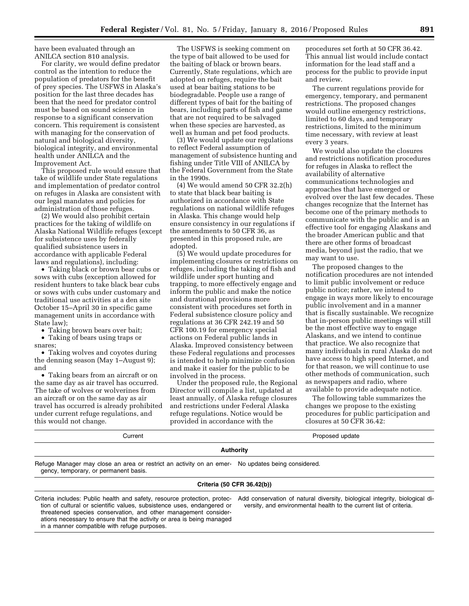have been evaluated through an ANILCA section 810 analysis.

For clarity, we would define predator control as the intention to reduce the population of predators for the benefit of prey species. The USFWS in Alaska's position for the last three decades has been that the need for predator control must be based on sound science in response to a significant conservation concern. This requirement is consistent with managing for the conservation of natural and biological diversity, biological integrity, and environmental health under ANILCA and the Improvement Act.

This proposed rule would ensure that take of wildlife under State regulations and implementation of predator control on refuges in Alaska are consistent with our legal mandates and policies for administration of those refuges.

(2) We would also prohibit certain practices for the taking of wildlife on Alaska National Wildlife refuges (except for subsistence uses by federally qualified subsistence users in accordance with applicable Federal laws and regulations), including:

• Taking black or brown bear cubs or sows with cubs (exception allowed for resident hunters to take black bear cubs or sows with cubs under customary and traditional use activities at a den site October 15–April 30 in specific game management units in accordance with State law);

• Taking brown bears over bait;

• Taking of bears using traps or snares;

• Taking wolves and coyotes during the denning season (May 1–August 9); and

• Taking bears from an aircraft or on the same day as air travel has occurred. The take of wolves or wolverines from an aircraft or on the same day as air travel has occurred is already prohibited under current refuge regulations, and this would not change.

The USFWS is seeking comment on the type of bait allowed to be used for the baiting of black or brown bears. Currently, State regulations, which are adopted on refuges, require the bait used at bear baiting stations to be biodegradable. People use a range of different types of bait for the baiting of bears, including parts of fish and game that are not required to be salvaged when these species are harvested, as well as human and pet food products.

(3) We would update our regulations to reflect Federal assumption of management of subsistence hunting and fishing under Title VIII of ANILCA by the Federal Government from the State in the 1990s.

(4) We would amend 50 CFR 32.2(h) to state that black bear baiting is authorized in accordance with State regulations on national wildlife refuges in Alaska. This change would help ensure consistency in our regulations if the amendments to 50 CFR 36, as presented in this proposed rule, are adopted.

(5) We would update procedures for implementing closures or restrictions on refuges, including the taking of fish and wildlife under sport hunting and trapping, to more effectively engage and inform the public and make the notice and durational provisions more consistent with procedures set forth in Federal subsistence closure policy and regulations at 36 CFR 242.19 and 50 CFR 100.19 for emergency special actions on Federal public lands in Alaska. Improved consistency between these Federal regulations and processes is intended to help minimize confusion and make it easier for the public to be involved in the process.

Under the proposed rule, the Regional Director will compile a list, updated at least annually, of Alaska refuge closures and restrictions under Federal Alaska refuge regulations. Notice would be provided in accordance with the

procedures set forth at 50 CFR 36.42. This annual list would include contact information for the lead staff and a process for the public to provide input and review.

The current regulations provide for emergency, temporary, and permanent restrictions. The proposed changes would outline emergency restrictions, limited to 60 days, and temporary restrictions, limited to the minimum time necessary, with review at least every 3 years.

We would also update the closures and restrictions notification procedures for refuges in Alaska to reflect the availability of alternative communications technologies and approaches that have emerged or evolved over the last few decades. These changes recognize that the Internet has become one of the primary methods to communicate with the public and is an effective tool for engaging Alaskans and the broader American public and that there are other forms of broadcast media, beyond just the radio, that we may want to use.

The proposed changes to the notification procedures are not intended to limit public involvement or reduce public notice; rather, we intend to engage in ways more likely to encourage public involvement and in a manner that is fiscally sustainable. We recognize that in-person public meetings will still be the most effective way to engage Alaskans, and we intend to continue that practice. We also recognize that many individuals in rural Alaska do not have access to high speed Internet, and for that reason, we will continue to use other methods of communication, such as newspapers and radio, where available to provide adequate notice.

The following table summarizes the changes we propose to the existing procedures for public participation and closures at 50 CFR 36.42:

Current **Current Current Proposed update** 

Refuge Manager may close an area or restrict an activity on an emer-No updates being considered. gency, temporary, or permanent basis.

# **Criteria (50 CFR 36.42(b))**

**Authority** 

Criteria includes: Public health and safety, resource protection, protection of cultural or scientific values, subsistence uses, endangered or threatened species conservation, and other management considerations necessary to ensure that the activity or area is being managed in a manner compatible with refuge purposes.

Add conservation of natural diversity, biological integrity, biological diversity, and environmental health to the current list of criteria.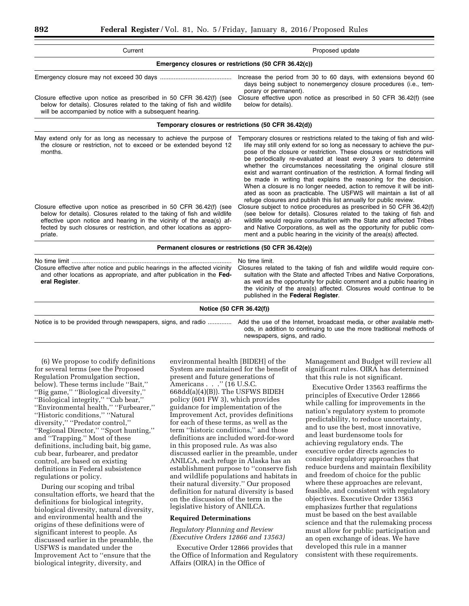| Current                                                                                                                                                                                                                                                                                                    | Proposed update                                                                                                                                                                                                                                                                                                                                                                                                                                                                                                                                                                                                                                                                                                                                 |
|------------------------------------------------------------------------------------------------------------------------------------------------------------------------------------------------------------------------------------------------------------------------------------------------------------|-------------------------------------------------------------------------------------------------------------------------------------------------------------------------------------------------------------------------------------------------------------------------------------------------------------------------------------------------------------------------------------------------------------------------------------------------------------------------------------------------------------------------------------------------------------------------------------------------------------------------------------------------------------------------------------------------------------------------------------------------|
|                                                                                                                                                                                                                                                                                                            | Emergency closures or restrictions (50 CFR 36.42(c))                                                                                                                                                                                                                                                                                                                                                                                                                                                                                                                                                                                                                                                                                            |
|                                                                                                                                                                                                                                                                                                            | Increase the period from 30 to 60 days, with extensions beyond 60<br>days being subject to nonemergency closure procedures (i.e., tem-<br>porary or permanent).                                                                                                                                                                                                                                                                                                                                                                                                                                                                                                                                                                                 |
| Closure effective upon notice as prescribed in 50 CFR 36.42(f) (see<br>below for details). Closures related to the taking of fish and wildlife<br>will be accompanied by notice with a subsequent hearing.                                                                                                 | Closure effective upon notice as prescribed in 50 CFR 36.42(f) (see<br>below for details).                                                                                                                                                                                                                                                                                                                                                                                                                                                                                                                                                                                                                                                      |
|                                                                                                                                                                                                                                                                                                            | Temporary closures or restrictions (50 CFR 36.42(d))                                                                                                                                                                                                                                                                                                                                                                                                                                                                                                                                                                                                                                                                                            |
| May extend only for as long as necessary to achieve the purpose of<br>the closure or restriction, not to exceed or be extended beyond 12<br>months.                                                                                                                                                        | Temporary closures or restrictions related to the taking of fish and wild-<br>life may still only extend for so long as necessary to achieve the pur-<br>pose of the closure or restriction. These closures or restrictions will<br>be periodically re-evaluated at least every 3 years to determine<br>whether the circumstances necessitating the original closure still<br>exist and warrant continuation of the restriction. A formal finding will<br>be made in writing that explains the reasoning for the decision.<br>When a closure is no longer needed, action to remove it will be initi-<br>ated as soon as practicable. The USFWS will maintain a list of all<br>refuge closures and publish this list annually for public review. |
| Closure effective upon notice as prescribed in 50 CFR 36.42(f) (see<br>below for details). Closures related to the taking of fish and wildlife<br>effective upon notice and hearing in the vicinity of the area(s) af-<br>fected by such closures or restriction, and other locations as appro-<br>priate. | Closure subject to notice procedures as prescribed in 50 CFR 36.42(f)<br>(see below for details). Closures related to the taking of fish and<br>wildlife would require consultation with the State and affected Tribes<br>and Native Corporations, as well as the opportunity for public com-<br>ment and a public hearing in the vicinity of the area(s) affected.                                                                                                                                                                                                                                                                                                                                                                             |
|                                                                                                                                                                                                                                                                                                            | Permanent closures or restrictions (50 CFR 36.42(e))                                                                                                                                                                                                                                                                                                                                                                                                                                                                                                                                                                                                                                                                                            |
| Closure effective after notice and public hearings in the affected vicinity<br>and other locations as appropriate, and after publication in the Fed-<br>eral Register.                                                                                                                                     | No time limit.<br>Closures related to the taking of fish and wildlife would require con-<br>sultation with the State and affected Tribes and Native Corporations,<br>as well as the opportunity for public comment and a public hearing in<br>the vicinity of the area(s) affected. Closures would continue to be<br>published in the Federal Register.                                                                                                                                                                                                                                                                                                                                                                                         |
|                                                                                                                                                                                                                                                                                                            | Notice (50 CFR 36.42(f))                                                                                                                                                                                                                                                                                                                                                                                                                                                                                                                                                                                                                                                                                                                        |
| Notice is to be provided through newspapers, signs, and radio                                                                                                                                                                                                                                              | Add the use of the Internet, broadcast media, or other available meth-<br>ods, in addition to continuing to use the more traditional methods of<br>newspapers, signs, and radio.                                                                                                                                                                                                                                                                                                                                                                                                                                                                                                                                                                |

(6) We propose to codify definitions for several terms (see the Proposed Regulation Promulgation section, below). These terms include ''Bait,'' ''Big game,'' ''Biological diversity,'' ''Biological integrity,'' ''Cub bear,'' ''Environmental health,'' ''Furbearer,'' ''Historic conditions,'' ''Natural diversity,'' ''Predator control,'' ''Regional Director,'' ''Sport hunting,'' and ''Trapping.'' Most of these definitions, including bait, big game, cub bear, furbearer, and predator control, are based on existing definitions in Federal subsistence regulations or policy.

During our scoping and tribal consultation efforts, we heard that the definitions for biological integrity, biological diversity, natural diversity, and environmental health and the origins of these definitions were of significant interest to people. As discussed earlier in the preamble, the USFWS is mandated under the Improvement Act to ''ensure that the biological integrity, diversity, and

environmental health [BIDEH] of the System are maintained for the benefit of present and future generations of Americans . . .'' (16 U.S.C. 668dd(a)(4)(B)). The USFWS BIDEH policy (601 FW 3), which provides guidance for implementation of the Improvement Act, provides definitions for each of these terms, as well as the term ''historic conditions,'' and those definitions are included word-for-word in this proposed rule. As was also discussed earlier in the preamble, under ANILCA, each refuge in Alaska has an establishment purpose to ''conserve fish and wildlife populations and habitats in their natural diversity.'' Our proposed definition for natural diversity is based on the discussion of the term in the legislative history of ANILCA.

### **Required Determinations**

*Regulatory Planning and Review (Executive Orders 12866 and 13563)* 

Executive Order 12866 provides that the Office of Information and Regulatory Affairs (OIRA) in the Office of

Management and Budget will review all significant rules. OIRA has determined that this rule is not significant.

Executive Order 13563 reaffirms the principles of Executive Order 12866 while calling for improvements in the nation's regulatory system to promote predictability, to reduce uncertainty, and to use the best, most innovative, and least burdensome tools for achieving regulatory ends. The executive order directs agencies to consider regulatory approaches that reduce burdens and maintain flexibility and freedom of choice for the public where these approaches are relevant, feasible, and consistent with regulatory objectives. Executive Order 13563 emphasizes further that regulations must be based on the best available science and that the rulemaking process must allow for public participation and an open exchange of ideas. We have developed this rule in a manner consistent with these requirements.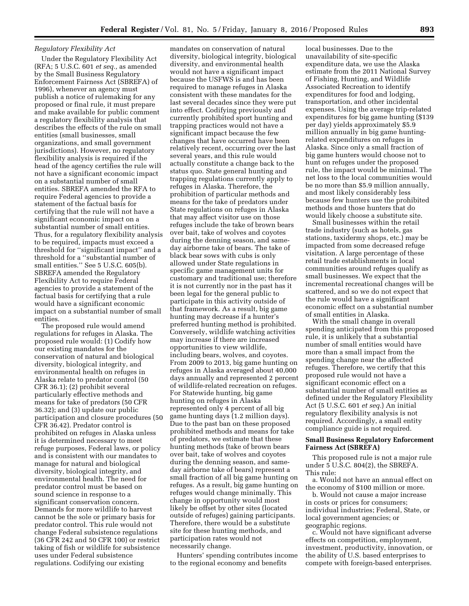## *Regulatory Flexibility Act*

Under the Regulatory Flexibility Act (RFA; 5 U.S.C. 601 *et seq.,* as amended by the Small Business Regulatory Enforcement Fairness Act (SBREFA) of 1996), whenever an agency must publish a notice of rulemaking for any proposed or final rule, it must prepare and make available for public comment a regulatory flexibility analysis that describes the effects of the rule on small entities (small businesses, small organizations, and small government jurisdictions). However, no regulatory flexibility analysis is required if the head of the agency certifies the rule will not have a significant economic impact on a substantial number of small entities. SBREFA amended the RFA to require Federal agencies to provide a statement of the factual basis for certifying that the rule will not have a significant economic impact on a substantial number of small entities. Thus, for a regulatory flexibility analysis to be required, impacts must exceed a threshold for ''significant impact'' and a threshold for a ''substantial number of small entities.'' See 5 U.S.C. 605(b). SBREFA amended the Regulatory Flexibility Act to require Federal agencies to provide a statement of the factual basis for certifying that a rule would have a significant economic impact on a substantial number of small entities.

The proposed rule would amend regulations for refuges in Alaska. The proposed rule would: (1) Codify how our existing mandates for the conservation of natural and biological diversity, biological integrity, and environmental health on refuges in Alaska relate to predator control (50 CFR 36.1); (2) prohibit several particularly effective methods and means for take of predators (50 CFR 36.32); and (3) update our public participation and closure procedures (50 CFR 36.42). Predator control is prohibited on refuges in Alaska unless it is determined necessary to meet refuge purposes, Federal laws, or policy and is consistent with our mandates to manage for natural and biological diversity, biological integrity, and environmental health. The need for predator control must be based on sound science in response to a significant conservation concern. Demands for more wildlife to harvest cannot be the sole or primary basis for predator control. This rule would not change Federal subsistence regulations (36 CFR 242 and 50 CFR 100) or restrict taking of fish or wildlife for subsistence uses under Federal subsistence regulations. Codifying our existing

mandates on conservation of natural diversity, biological integrity, biological diversity, and environmental health would not have a significant impact because the USFWS is and has been required to manage refuges in Alaska consistent with these mandates for the last several decades since they were put into effect. Codifying previously and currently prohibited sport hunting and trapping practices would not have a significant impact because the few changes that have occurred have been relatively recent, occurring over the last several years, and this rule would actually constitute a change back to the status quo. State general hunting and trapping regulations currently apply to refuges in Alaska. Therefore, the prohibition of particular methods and means for the take of predators under State regulations on refuges in Alaska that may affect visitor use on those refuges include the take of brown bears over bait, take of wolves and coyotes during the denning season, and sameday airborne take of bears. The take of black bear sows with cubs is only allowed under State regulations in specific game management units for customary and traditional use; therefore it is not currently nor in the past has it been legal for the general public to participate in this activity outside of that framework. As a result, big game hunting may decrease if a hunter's preferred hunting method is prohibited. Conversely, wildlife watching activities may increase if there are increased opportunities to view wildlife, including bears, wolves, and coyotes. From 2009 to 2013, big game hunting on refuges in Alaska averaged about 40,000 days annually and represented 2 percent of wildlife-related recreation on refuges. For Statewide hunting, big game hunting on refuges in Alaska represented only 4 percent of all big game hunting days (1.2 million days). Due to the past ban on these proposed prohibited methods and means for take of predators, we estimate that these hunting methods (take of brown bears over bait, take of wolves and coyotes during the denning season, and sameday airborne take of bears) represent a small fraction of all big game hunting on refuges. As a result, big game hunting on refuges would change minimally. This change in opportunity would most likely be offset by other sites (located outside of refuges) gaining participants. Therefore, there would be a substitute site for these hunting methods, and participation rates would not necessarily change.

Hunters' spending contributes income to the regional economy and benefits

local businesses. Due to the unavailability of site-specific expenditure data, we use the Alaska estimate from the 2011 National Survey of Fishing, Hunting, and Wildlife Associated Recreation to identify expenditures for food and lodging, transportation, and other incidental expenses. Using the average trip-related expenditures for big game hunting (\$139 per day) yields approximately \$5.9 million annually in big game huntingrelated expenditures on refuges in Alaska. Since only a small fraction of big game hunters would choose not to hunt on refuges under the proposed rule, the impact would be minimal. The net loss to the local communities would be no more than \$5.9 million annually, and most likely considerably less because few hunters use the prohibited methods and those hunters that do would likely choose a substitute site.

Small businesses within the retail trade industry (such as hotels, gas stations, taxidermy shops, etc.) may be impacted from some decreased refuge visitation. A large percentage of these retail trade establishments in local communities around refuges qualify as small businesses. We expect that the incremental recreational changes will be scattered, and so we do not expect that the rule would have a significant economic effect on a substantial number of small entities in Alaska.

With the small change in overall spending anticipated from this proposed rule, it is unlikely that a substantial number of small entities would have more than a small impact from the spending change near the affected refuges. Therefore, we certify that this proposed rule would not have a significant economic effect on a substantial number of small entities as defined under the Regulatory Flexibility Act (5 U.S.C. 601 *et seq.*) An initial regulatory flexibility analysis is not required. Accordingly, a small entity compliance guide is not required.

### **Small Business Regulatory Enforcement Fairness Act (SBREFA)**

This proposed rule is not a major rule under 5 U.S.C. 804(2), the SBREFA. This rule:

a. Would not have an annual effect on the economy of \$100 million or more.

b. Would not cause a major increase in costs or prices for consumers; individual industries; Federal, State, or local government agencies; or geographic regions.

c. Would not have significant adverse effects on competition, employment, investment, productivity, innovation, or the ability of U.S. based enterprises to compete with foreign-based enterprises.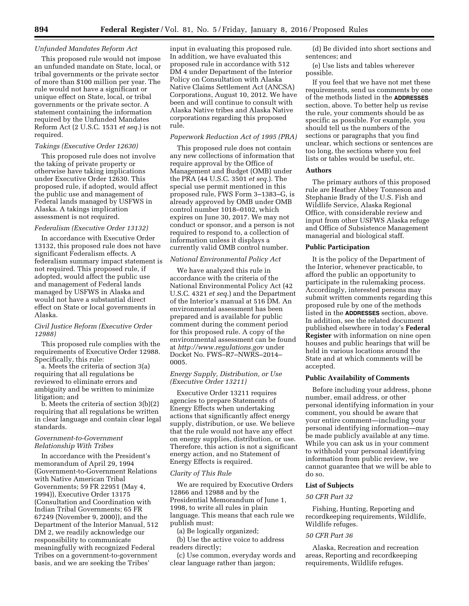#### *Unfunded Mandates Reform Act*

This proposed rule would not impose an unfunded mandate on State, local, or tribal governments or the private sector of more than \$100 million per year. The rule would not have a significant or unique effect on State, local, or tribal governments or the private sector. A statement containing the information required by the Unfunded Mandates Reform Act (2 U.S.C. 1531 *et seq.*) is not required.

#### *Takings (Executive Order 12630)*

This proposed rule does not involve the taking of private property or otherwise have taking implications under Executive Order 12630. This proposed rule, if adopted, would affect the public use and management of Federal lands managed by USFWS in Alaska. A takings implication assessment is not required.

## *Federalism (Executive Order 13132)*

In accordance with Executive Order 13132, this proposed rule does not have significant Federalism effects. A federalism summary impact statement is not required. This proposed rule, if adopted, would affect the public use and management of Federal lands managed by USFWS in Alaska and would not have a substantial direct effect on State or local governments in Alaska.

## *Civil Justice Reform (Executive Order 12988)*

This proposed rule complies with the requirements of Executive Order 12988. Specifically, this rule:

a. Meets the criteria of section 3(a) requiring that all regulations be reviewed to eliminate errors and ambiguity and be written to minimize litigation; and

b. Meets the criteria of section 3(b)(2) requiring that all regulations be written in clear language and contain clear legal standards.

### *Government-to-Government Relationship With Tribes*

In accordance with the President's memorandum of April 29, 1994 (Government-to-Government Relations with Native American Tribal Governments; 59 FR 22951 (May 4, 1994)), Executive Order 13175 (Consultation and Coordination with Indian Tribal Governments; 65 FR 67249 (November 9, 2000)), and the Department of the Interior Manual, 512 DM 2, we readily acknowledge our responsibility to communicate meaningfully with recognized Federal Tribes on a government-to-government basis, and we are seeking the Tribes'

input in evaluating this proposed rule. In addition, we have evaluated this proposed rule in accordance with 512 DM 4 under Department of the Interior Policy on Consultation with Alaska Native Claims Settlement Act (ANCSA) Corporations, August 10, 2012. We have been and will continue to consult with Alaska Native tribes and Alaska Native corporations regarding this proposed rule.

### *Paperwork Reduction Act of 1995 (PRA)*

This proposed rule does not contain any new collections of information that require approval by the Office of Management and Budget (OMB) under the PRA (44 U.S.C. 3501 *et seq.*). The special use permit mentioned in this proposed rule, FWS Form 3–1383–G, is already approved by OMB under OMB control number 1018–0102, which expires on June 30, 2017. We may not conduct or sponsor, and a person is not required to respond to, a collection of information unless it displays a currently valid OMB control number.

## *National Environmental Policy Act*

We have analyzed this rule in accordance with the criteria of the National Environmental Policy Act (42 U.S.C. 4321 *et seq.*) and the Department of the Interior's manual at 516 DM. An environmental assessment has been prepared and is available for public comment during the comment period for this proposed rule. A copy of the environmental assessment can be found at *<http://www.regulations.gov>* under Docket No. FWS–R7–NWRS–2014– 0005.

# *Energy Supply, Distribution, or Use (Executive Order 13211)*

Executive Order 13211 requires agencies to prepare Statements of Energy Effects when undertaking actions that significantly affect energy supply, distribution, or use. We believe that the rule would not have any effect on energy supplies, distribution, or use. Therefore, this action is not a significant energy action, and no Statement of Energy Effects is required.

#### *Clarity of This Rule*

We are required by Executive Orders 12866 and 12988 and by the Presidential Memorandum of June 1, 1998, to write all rules in plain language. This means that each rule we publish must:

(a) Be logically organized;

(b) Use the active voice to address readers directly;

(c) Use common, everyday words and clear language rather than jargon;

(d) Be divided into short sections and sentences; and

(e) Use lists and tables wherever possible.

If you feel that we have not met these requirements, send us comments by one of the methods listed in the **ADDRESSES** section, above. To better help us revise the rule, your comments should be as specific as possible. For example, you should tell us the numbers of the sections or paragraphs that you find unclear, which sections or sentences are too long, the sections where you feel lists or tables would be useful, etc.

#### **Authors**

The primary authors of this proposed rule are Heather Abbey Tonneson and Stephanie Brady of the U.S. Fish and Wildlife Service, Alaska Regional Office, with considerable review and input from other USFWS Alaska refuge and Office of Subsistence Management managerial and biological staff.

### **Public Participation**

It is the policy of the Department of the Interior, whenever practicable, to afford the public an opportunity to participate in the rulemaking process. Accordingly, interested persons may submit written comments regarding this proposed rule by one of the methods listed in the **ADDRESSES** section, above. In addition, see the related document published elsewhere in today's **Federal Register** with information on nine open houses and public hearings that will be held in various locations around the State and at which comments will be accepted.

# **Public Availability of Comments**

Before including your address, phone number, email address, or other personal identifying information in your comment, you should be aware that your entire comment—including your personal identifying information—may be made publicly available at any time. While you can ask us in your comment to withhold your personal identifying information from public review, we cannot guarantee that we will be able to do so.

#### **List of Subjects**

### *50 CFR Part 32*

Fishing, Hunting, Reporting and recordkeeping requirements, Wildlife, Wildlife refuges.

#### *50 CFR Part 36*

Alaska, Recreation and recreation areas, Reporting and recordkeeping requirements, Wildlife refuges.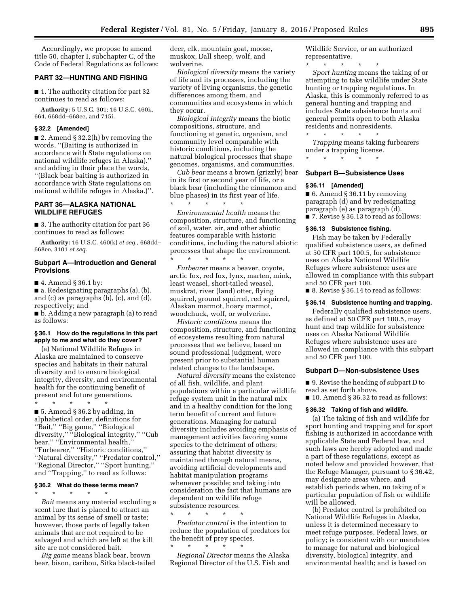Accordingly, we propose to amend title 50, chapter I, subchapter C, of the Code of Federal Regulations as follows:

#### **PART 32—HUNTING AND FISHING**

■ 1. The authority citation for part 32 continues to read as follows:

**Authority:** 5 U.S.C. 301; 16 U.S.C. 460k, 664, 668dd–668ee, and 715i.

### **§ 32.2 [Amended]**

■ 2. Amend § 32.2(h) by removing the words, ''(Baiting is authorized in accordance with State regulations on national wildlife refuges in Alaska).'' and adding in their place the words, ''(Black bear baiting is authorized in accordance with State regulations on national wildlife refuges in Alaska.)''.

# **PART 36—ALASKA NATIONAL WILDLIFE REFUGES**

■ 3. The authority citation for part 36 continues to read as follows:

**Authority:** 16 U.S.C. 460(k) *et seq.,* 668dd– 668ee, 3101 *et seq.* 

# **Subpart A—Introduction and General Provisions**

■ 4. Amend § 36.1 by:

■ a. Redesignating paragraphs (a), (b), and (c) as paragraphs (b), (c), and (d), respectively; and

■ b. Adding a new paragraph (a) to read as follows:

### **§ 36.1 How do the regulations in this part apply to me and what do they cover?**

(a) National Wildlife Refuges in Alaska are maintained to conserve species and habitats in their natural diversity and to ensure biological integrity, diversity, and environmental health for the continuing benefit of present and future generations.

\* \* \* \* \*  $\blacksquare$  5. Amend § 36.2 by adding, in alphabetical order, definitions for ''Bait,'' ''Big game,'' ''Biological diversity,'' ''Biological integrity,'' ''Cub bear,'' ''Environmental health,'' ''Furbearer,'' ''Historic conditions,'' ''Natural diversity,'' ''Predator control,'' ''Regional Director,'' ''Sport hunting,'' and ''Trapping,'' to read as follows:

## **§ 36.2 What do these terms mean?**

\* \* \* \* \* *Bait* means any material excluding a scent lure that is placed to attract an animal by its sense of smell or taste; however, those parts of legally taken animals that are not required to be salvaged and which are left at the kill site are not considered bait.

*Big game* means black bear, brown bear, bison, caribou, Sitka black-tailed deer, elk, mountain goat, moose, muskox, Dall sheep, wolf, and wolverine.

*Biological diversity* means the variety of life and its processes, including the variety of living organisms, the genetic differences among them, and communities and ecosystems in which they occur.

*Biological integrity* means the biotic compositions, structure, and functioning at genetic, organism, and community level comparable with historic conditions, including the natural biological processes that shape genomes, organisms, and communities.

*Cub bear* means a brown (grizzly) bear in its first or second year of life, or a black bear (including the cinnamon and blue phases) in its first year of life.

\* \* \* \* \* *Environmental health* means the composition, structure, and functioning of soil, water, air, and other abiotic features comparable with historic conditions, including the natural abiotic processes that shape the environment. \* \* \* \* \*

*Furbearer* means a beaver, coyote, arctic fox, red fox, lynx, marten, mink, least weasel, short-tailed weasel, muskrat, river (land) otter, flying squirrel, ground squirrel, red squirrel, Alaskan marmot, hoary marmot, woodchuck, wolf, or wolverine.

*Historic conditions* means the composition, structure, and functioning of ecosystems resulting from natural processes that we believe, based on sound professional judgment, were present prior to substantial human related changes to the landscape.

*Natural diversity* means the existence of all fish, wildlife, and plant populations within a particular wildlife refuge system unit in the natural mix and in a healthy condition for the long term benefit of current and future generations. Managing for natural diversity includes avoiding emphasis of management activities favoring some species to the detriment of others; assuring that habitat diversity is maintained through natural means, avoiding artificial developments and habitat manipulation programs whenever possible; and taking into consideration the fact that humans are dependent on wildlife refuge subsistence resources.

\* \* \* \* \* *Predator control* is the intention to reduce the population of predators for the benefit of prey species. \* \* \* \* \*

*Regional Director* means the Alaska Regional Director of the U.S. Fish and

Wildlife Service, or an authorized representative.

\* \* \* \* \* *Sport hunting* means the taking of or attempting to take wildlife under State hunting or trapping regulations. In Alaska, this is commonly referred to as general hunting and trapping and includes State subsistence hunts and general permits open to both Alaska residents and nonresidents.

*Trapping* means taking furbearers under a trapping license.

\* \* \* \* \*

\* \* \* \* \*

# **Subpart B—Subsistence Uses**

#### **§ 36.11 [Amended]**

■ 6. Amend § 36.11 by removing paragraph (d) and by redesignating paragraph (e) as paragraph (d). ■ 7. Revise § 36.13 to read as follows:

#### **§ 36.13 Subsistence fishing.**

Fish may be taken by Federally qualified subsistence users, as defined at 50 CFR part 100.5, for subsistence uses on Alaska National Wildlife Refuges where subsistence uses are allowed in compliance with this subpart and 50 CFR part 100.

■ 8. Revise § 36.14 to read as follows:

# **§ 36.14 Subsistence hunting and trapping.**

Federally qualified subsistence users, as defined at 50 CFR part 100.5, may hunt and trap wildlife for subsistence uses on Alaska National Wildlife Refuges where subsistence uses are allowed in compliance with this subpart and 50 CFR part 100.

### **Subpart D—Non-subsistence Uses**

■ 9. Revise the heading of subpart D to read as set forth above.

■ 10. Amend § 36.32 to read as follows:

#### **§ 36.32 Taking of fish and wildlife.**

(a) The taking of fish and wildlife for sport hunting and trapping and for sport fishing is authorized in accordance with applicable State and Federal law, and such laws are hereby adopted and made a part of these regulations, except as noted below and provided however, that the Refuge Manager, pursuant to § 36.42, may designate areas where, and establish periods when, no taking of a particular population of fish or wildlife will be allowed.

(b) Predator control is prohibited on National Wildlife Refuges in Alaska, unless it is determined necessary to meet refuge purposes, Federal laws, or policy; is consistent with our mandates to manage for natural and biological diversity, biological integrity, and environmental health; and is based on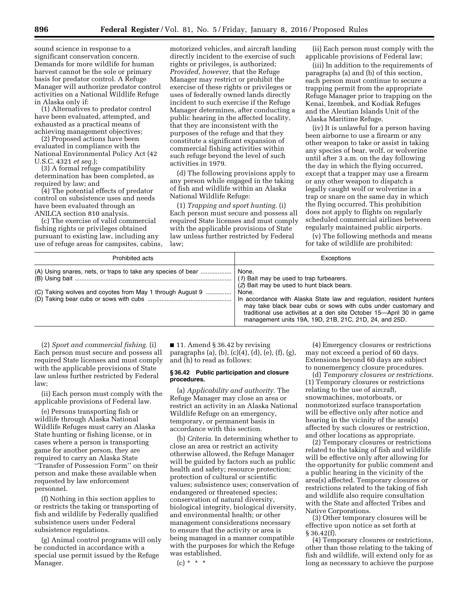sound science in response to a significant conservation concern. Demands for more wildlife for human harvest cannot be the sole or primary basis for predator control. A Refuge Manager will authorize predator control activities on a National Wildlife Refuge in Alaska only if:

(1) Alternatives to predator control have been evaluated, attempted, and exhausted as a practical means of achieving management objectives;

(2) Proposed actions have been evaluated in compliance with the National Environmental Policy Act (42 U.S.C. 4321 *et seq.*);

(3) A formal refuge compatibility determination has been completed, as required by law; and

(4) The potential effects of predator control on subsistence uses and needs have been evaluated through an ANILCA section 810 analysis.

(c) The exercise of valid commercial fishing rights or privileges obtained pursuant to existing law, including any use of refuge areas for campsites, cabins, motorized vehicles, and aircraft landing directly incident to the exercise of such rights or privileges, is authorized; *Provided, however,* that the Refuge Manager may restrict or prohibit the exercise of these rights or privileges or uses of federally owned lands directly incident to such exercise if the Refuge Manager determines, after conducting a public hearing in the affected locality, that they are inconsistent with the purposes of the refuge and that they constitute a significant expansion of commercial fishing activities within such refuge beyond the level of such activities in 1979.

(d) The following provisions apply to any person while engaged in the taking of fish and wildlife within an Alaska National Wildlife Refuge:

(1) *Trapping and sport hunting.* (i) Each person must secure and possess all required State licenses and must comply with the applicable provisions of State law unless further restricted by Federal law;

(ii) Each person must comply with the applicable provisions of Federal law;

(iii) In addition to the requirements of paragraphs (a) and (b) of this section, each person must continue to secure a trapping permit from the appropriate Refuge Manager prior to trapping on the Kenai, Izembek, and Kodiak Refuges and the Aleutian Islands Unit of the Alaska Maritime Refuge.

(iv) It is unlawful for a person having been airborne to use a firearm or any other weapon to take or assist in taking any species of bear, wolf, or wolverine until after 3 a.m. on the day following the day in which the flying occurred, except that a trapper may use a firearm or any other weapon to dispatch a legally caught wolf or wolverine in a trap or snare on the same day in which the flying occurred. This prohibition does not apply to flights on regularly scheduled commercial airlines between regularly maintained public airports.

(v) The following methods and means for take of wildlife are prohibited:

| Prohibited acts                                              | Exceptions                                                                                                                                                                                                                                                                        |
|--------------------------------------------------------------|-----------------------------------------------------------------------------------------------------------------------------------------------------------------------------------------------------------------------------------------------------------------------------------|
| (A) Using snares, nets, or traps to take any species of bear | None.<br>(1) Bait may be used to trap furbearers.<br>(2) Bait may be used to hunt black bears.                                                                                                                                                                                    |
| (C) Taking wolves and coyotes from May 1 through August 9    | None.<br>In accordance with Alaska State law and regulation, resident hunters<br>may take black bear cubs or sows with cubs under customary and<br>traditional use activities at a den site October 15-April 30 in game<br>management units 19A, 19D, 21B, 21C, 21D, 24, and 25D. |

(2) *Sport and commercial fishing.* (i) Each person must secure and possess all required State licenses and must comply with the applicable provisions of State law unless further restricted by Federal law;

(ii) Each person must comply with the applicable provisions of Federal law.

(e) Persons transporting fish or wildlife through Alaska National Wildlife Refuges must carry an Alaska State hunting or fishing license, or in cases where a person is transporting game for another person, they are required to carry an Alaska State ''Transfer of Possession Form'' on their person and make these available when requested by law enforcement personnel.

(f) Nothing in this section applies to or restricts the taking or transporting of fish and wildlife by Federally qualified subsistence users under Federal subsistence regulations.

(g) Animal control programs will only be conducted in accordance with a special use permit issued by the Refuge Manager.

■ 11. Amend § 36.42 by revising paragraphs (a), (b), (c)(4), (d), (e), (f), (g), and (h) to read as follows:

#### **§ 36.42 Public participation and closure procedures.**

(a) *Applicability and authority.* The Refuge Manager may close an area or restrict an activity in an Alaska National Wildlife Refuge on an emergency, temporary, or permanent basis in accordance with this section.

(b) *Criteria.* In determining whether to close an area or restrict an activity otherwise allowed, the Refuge Manager will be guided by factors such as public health and safety; resource protection; protection of cultural or scientific values; subsistence uses; conservation of endangered or threatened species; conservation of natural diversity, biological integrity, biological diversity, and environmental health; or other management considerations necessary to ensure that the activity or area is being managed in a manner compatible with the purposes for which the Refuge was established.

 $(c) * * * *$ 

(4) Emergency closures or restrictions may not exceed a period of 60 days. Extensions beyond 60 days are subject to nonemergency closure procedures.

(d) *Temporary closures or restrictions.*  (1) Temporary closures or restrictions relating to the use of aircraft, snowmachines, motorboats, or nonmotorized surface transportation will be effective only after notice and hearing in the vicinity of the area(s) affected by such closures or restriction, and other locations as appropriate.

(2) Temporary closures or restrictions related to the taking of fish and wildlife will be effective only after allowing for the opportunity for public comment and a public hearing in the vicinity of the area(s) affected. Temporary closures or restrictions related to the taking of fish and wildlife also require consultation with the State and affected Tribes and Native Corporations.

(3) Other temporary closures will be effective upon notice as set forth at § 36.42(f).

(4) Temporary closures or restrictions, other than those relating to the taking of fish and wildlife, will extend only for as long as necessary to achieve the purpose